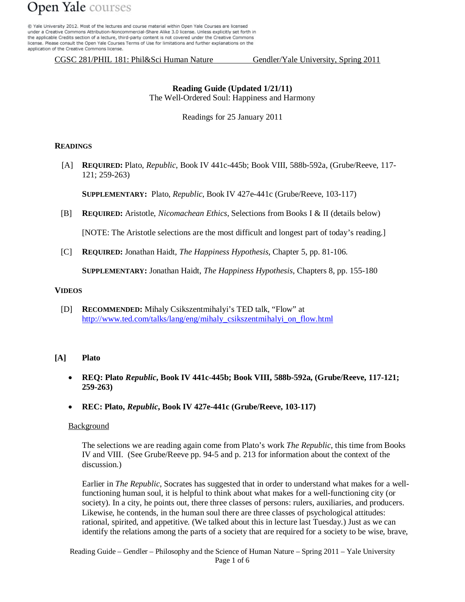

@ Yale University 2012. Most of the lectures and course material within Open Yale Courses are licensed under a Creative Commons Attribution-Noncommercial-Share Alike 3.0 license. Unless explicitly set forth in the applicable Credits section of a lecture, third-party content is not covered under the Creative Commons license. Please consult the Open Yale Courses Terms of Use for limitations and further explanations on the application of the Creative Commons license.

CGSC 281/PHIL 181: Phil&Sci Human Nature Gendler/Yale University, Spring 2011

# **Reading Guide (Updated 1/21/11)**  The Well-Ordered Soul: Happiness and Harmony

Readings for 25 January 2011

# **READINGS**

[A] **REQUIRED:** Plato, *Republic*, Book IV 441c-445b; Book VIII, 588b-592a, (Grube/Reeve, 117- 121; 259-263)

**SUPPLEMENTARY:** Plato, *Republic*, Book IV 427e-441c (Grube/Reeve, 103-117)

[B] **REQUIRED:** Aristotle, *Nicomachean Ethics*, Selections from Books I & II (details below)

[NOTE: The Aristotle selections are the most difficult and longest part of today's reading.]

[C] **REQUIRED:** Jonathan Haidt, *The Happiness Hypothesis*, Chapter 5, pp. 81-106.

**SUPPLEMENTARY:** Jonathan Haidt, *The Happiness Hypothesis*, Chapters 8, pp. 155-180

#### **VIDEOS**

[D] **RECOMMENDED:** Mihaly Csikszentmihalyi's TED talk, "Flow" at [http://www.ted.com/talks/lang/eng/mihaly\\_csikszentmihalyi\\_on\\_flow.html](http://www.ted.com/talks/lang/eng/mihaly_csikszentmihalyi_on_flow.html) 

# **[A] Plato**

- **REQ: Plato** *Republic***, Book IV 441c-445b; Book VIII, 588b-592a, (Grube/Reeve, 117-121; 259-263)**
- **REC: Plato,** *Republic***, Book IV 427e-441c (Grube/Reeve, 103-117)**

### **Background**

The selections we are reading again come from Plato's work *The Republic*, this time from Books IV and VIII. (See Grube/Reeve pp. 94-5 and p. 213 for information about the context of the discussion.)

Earlier in *The Republic*, Socrates has suggested that in order to understand what makes for a wellfunctioning human soul, it is helpful to think about what makes for a well-functioning city (or society). In a city, he points out, there three classes of persons: rulers, auxiliaries, and producers. Likewise, he contends, in the human soul there are three classes of psychological attitudes: rational, spirited, and appetitive. (We talked about this in lecture last Tuesday*.*) Just as we can identify the relations among the parts of a society that are required for a society to be wise, brave,

Reading Guide – Gendler – Philosophy and the Science of Human Nature – Spring 2011 – Yale University Page 1 of 6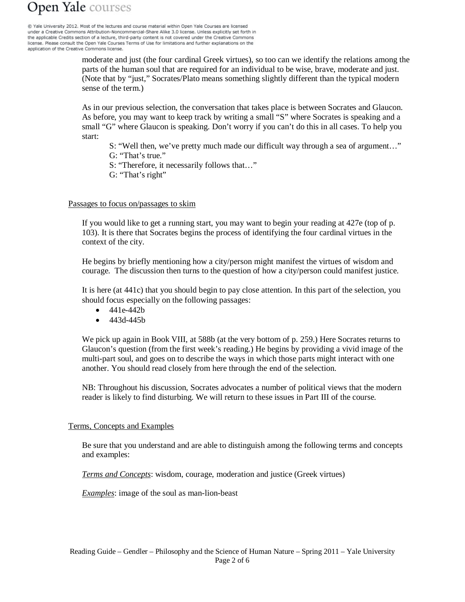@ Yale University 2012. Most of the lectures and course material within Open Yale Courses are licensed under a Creative Commons Attribution-Noncommercial-Share Alike 3.0 license. Unless explicitly set forth in the applicable Credits section of a lecture, third-party content is not covered under the Creative Commons license. Please consult the Open Yale Courses Terms of Use for limitations and further explanations on the application of the Creative Commons license.

> moderate and just (the four cardinal Greek virtues), so too can we identify the relations among the parts of the human soul that are required for an individual to be wise, brave, moderate and just. (Note that by "just," Socrates/Plato means something slightly different than the typical modern sense of the term.)

As in our previous selection, the conversation that takes place is between Socrates and Glaucon. As before, you may want to keep track by writing a small "S" where Socrates is speaking and a small "G" where Glaucon is speaking. Don't worry if you can't do this in all cases. To help you start:

S: "Well then, we've pretty much made our difficult way through a sea of argument…" G: "That's true."

S: "Therefore, it necessarily follows that…"

G: "That's right"

### Passages to focus on/passages to skim

If you would like to get a running start, you may want to begin your reading at 427e (top of p. 103). It is there that Socrates begins the process of identifying the four cardinal virtues in the context of the city.

He begins by briefly mentioning how a city/person might manifest the virtues of wisdom and courage. The discussion then turns to the question of how a city/person could manifest justice.

It is here (at 441c) that you should begin to pay close attention. In this part of the selection, you should focus especially on the following passages:

- 441e-442b
- $•$  443d-445b

We pick up again in Book VIII, at 588b (at the very bottom of p. 259.) Here Socrates returns to Glaucon's question (from the first week's reading.) He begins by providing a vivid image of the multi-part soul, and goes on to describe the ways in which those parts might interact with one another. You should read closely from here through the end of the selection.

NB: Throughout his discussion, Socrates advocates a number of political views that the modern reader is likely to find disturbing. We will return to these issues in Part III of the course.

# Terms, Concepts and Examples

Be sure that you understand and are able to distinguish among the following terms and concepts and examples:

*Terms and Concepts*: wisdom, courage, moderation and justice (Greek virtues)

*Examples*: image of the soul as man-lion-beast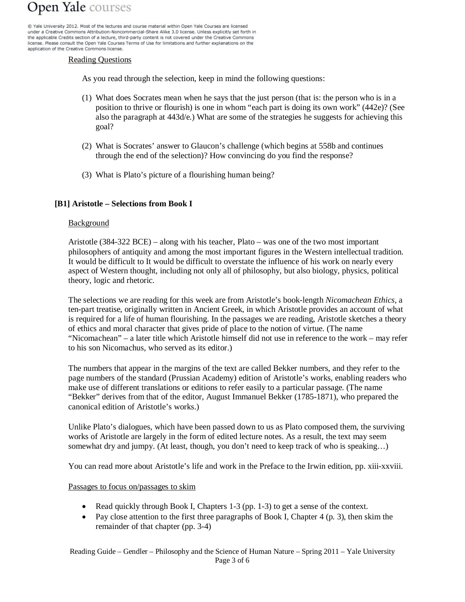@ Yale University 2012. Most of the lectures and course material within Open Yale Courses are licensed under a Creative Commons Attribution-Noncommercial-Share Alike 3.0 license. Unless explicitly set forth in the applicable Credits section of a lecture, third-party content is not covered under the Creative Commons license. Please consult the Open Yale Courses Terms of Use for limitations and further explanations on the application of the Creative Commons license.

#### Reading Questions

As you read through the selection, keep in mind the following questions:

- (1) What does Socrates mean when he says that the just person (that is: the person who is in a position to thrive or flourish) is one in whom "each part is doing its own work" (442e)? (See also the paragraph at 443d/e.) What are some of the strategies he suggests for achieving this goal?
- (2) What is Socrates' answer to Glaucon's challenge (which begins at 558b and continues through the end of the selection)? How convincing do you find the response?
- (3) What is Plato's picture of a flourishing human being?

# **[B1] Aristotle – Selections from Book I**

### Background

Aristotle (384-322 BCE) – along with his teacher, Plato – was one of the two most important philosophers of antiquity and among the most important figures in the Western intellectual tradition. It would be difficult to It would be difficult to overstate the influence of his work on nearly every aspect of Western thought, including not only all of philosophy, but also biology, physics, political theory, logic and rhetoric.

The selections we are reading for this week are from Aristotle's book-length *Nicomachean Ethics*, a ten-part treatise, originally written in Ancient Greek, in which Aristotle provides an account of what is required for a life of human flourishing. In the passages we are reading, Aristotle sketches a theory of ethics and moral character that gives pride of place to the notion of virtue. (The name "Nicomachean" – a later title which Aristotle himself did not use in reference to the work – may refer to his son Nicomachus, who served as its editor.)

The numbers that appear in the margins of the text are called Bekker numbers, and they refer to the page numbers of the standard (Prussian Academy) edition of Aristotle's works, enabling readers who make use of different translations or editions to refer easily to a particular passage. (The name "Bekker" derives from that of the editor, August Immanuel Bekker (1785-1871), who prepared the canonical edition of Aristotle's works.)

Unlike Plato's dialogues, which have been passed down to us as Plato composed them, the surviving works of Aristotle are largely in the form of edited lecture notes. As a result, the text may seem somewhat dry and jumpy. (At least, though, you don't need to keep track of who is speaking...)

You can read more about Aristotle's life and work in the Preface to the Irwin edition, pp. xiii-xxviii.

#### Passages to focus on/passages to skim

- Read quickly through Book I, Chapters 1-3 (pp. 1-3) to get a sense of the context.
- Pay close attention to the first three paragraphs of Book I, Chapter 4 (p. 3), then skim the remainder of that chapter (pp. 3-4)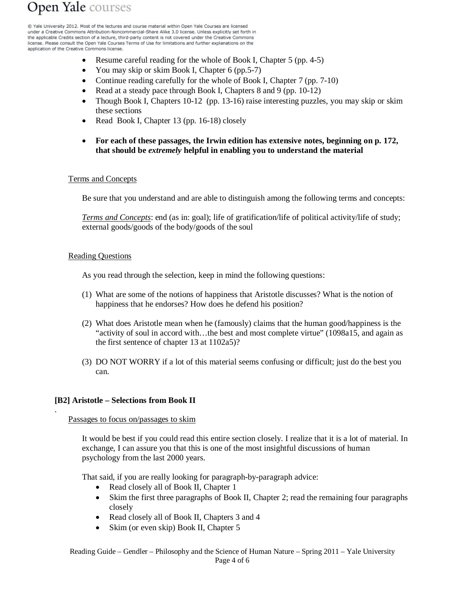@ Yale University 2012. Most of the lectures and course material within Open Yale Courses are licensed under a Creative Commons Attribution-Noncommercial-Share Alike 3.0 license. Unless explicitly set forth in the applicable Credits section of a lecture, third-party content is not covered under the Creative Commons license. Please consult the Open Yale Courses Terms of Use for limitations and further explanations on the application of the Creative Commons license.

- Resume careful reading for the whole of Book I, Chapter 5 (pp. 4-5)
- You may skip or skim Book I, Chapter 6 (pp. 5-7)
- Continue reading carefully for the whole of Book I, Chapter 7 (pp. 7-10)
- Read at a steady pace through Book I, Chapters 8 and 9 (pp. 10-12)
- Though Book I, Chapters 10-12 (pp. 13-16) raise interesting puzzles, you may skip or skim these sections
- Read Book I, Chapter 13 (pp. 16-18) closely
- **For each of these passages, the Irwin edition has extensive notes, beginning on p. 172, that should be** *extremely* **helpful in enabling you to understand the material**

# Terms and Concepts

Be sure that you understand and are able to distinguish among the following terms and concepts:

*Terms and Concepts*: end (as in: goal); life of gratification/life of political activity/life of study; external goods/goods of the body/goods of the soul

### Reading Questions

As you read through the selection, keep in mind the following questions:

- (1) What are some of the notions of happiness that Aristotle discusses? What is the notion of happiness that he endorses? How does he defend his position?
- (2) What does Aristotle mean when he (famously) claims that the human good/happiness is the "activity of soul in accord with…the best and most complete virtue" (1098a15, and again as the first sentence of chapter 13 at 1102a5)?
- (3) DO NOT WORRY if a lot of this material seems confusing or difficult; just do the best you can.

# **[B2] Aristotle – Selections from Book II**

.

#### Passages to focus on/passages to skim

It would be best if you could read this entire section closely. I realize that it is a lot of material. In exchange, I can assure you that this is one of the most insightful discussions of human psychology from the last 2000 years.

That said, if you are really looking for paragraph-by-paragraph advice:

- Read closely all of Book II, Chapter 1
- Skim the first three paragraphs of Book II, Chapter 2; read the remaining four paragraphs closely
- Read closely all of Book II, Chapters 3 and 4
- Skim (or even skip) Book II, Chapter 5

Reading Guide – Gendler – Philosophy and the Science of Human Nature – Spring 2011 – Yale University Page 4 of 6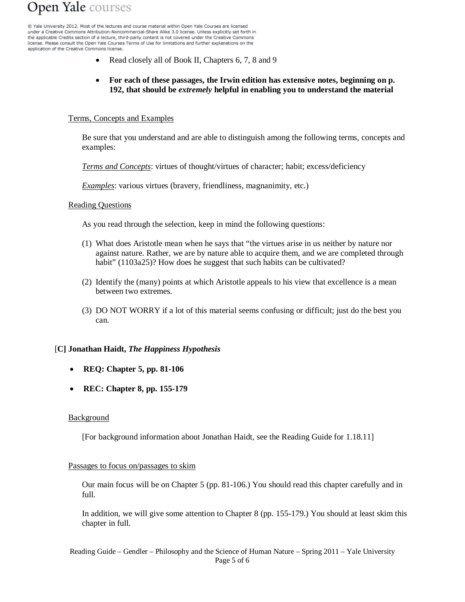@ Yale University 2012. Most of the lectures and course material within Open Yale Courses are licensed under a Creative Commons Attribution-Noncommercial-Share Alike 3.0 license. Unless explicitly set forth in the applicable Credits section of a lecture, third-party content is not covered under the Creative Commons license. Please consult the Open Yale Courses Terms of Use for limitations and further explanations on the application of the Creative Commons license.

- Read closely all of Book II, Chapters 6, 7, 8 and 9
- **For each of these passages, the Irwin edition has extensive notes, beginning on p. 192, that should be** *extremely* **helpful in enabling you to understand the material**

#### Terms, Concepts and Examples

Be sure that you understand and are able to distinguish among the following terms, concepts and examples:

*Terms and Concepts*: virtues of thought/virtues of character; habit; excess/deficiency

*Examples*: various virtues (bravery, friendliness, magnanimity, etc.)

#### Reading Questions

As you read through the selection, keep in mind the following questions:

- (1) What does Aristotle mean when he says that "the virtues arise in us neither by nature nor against nature. Rather, we are by nature able to acquire them, and we are completed through habit" (1103a25)? How does he suggest that such habits can be cultivated?
- (2) Identify the (many) points at which Aristotle appeals to his view that excellence is a mean between two extremes.
- (3) DO NOT WORRY if a lot of this material seems confusing or difficult; just do the best you can.

# [**C] Jonathan Haidt,** *The Happiness Hypothesis*

- **REQ: Chapter 5, pp. 81-106**
- **REC: Chapter 8, pp. 155-179**

#### **Background**

[For background information about Jonathan Haidt, see the Reading Guide for 1.18.11]

#### Passages to focus on/passages to skim

Our main focus will be on Chapter 5 (pp. 81-106.) You should read this chapter carefully and in full.

In addition, we will give some attention to Chapter 8 (pp. 155-179.) You should at least skim this chapter in full.